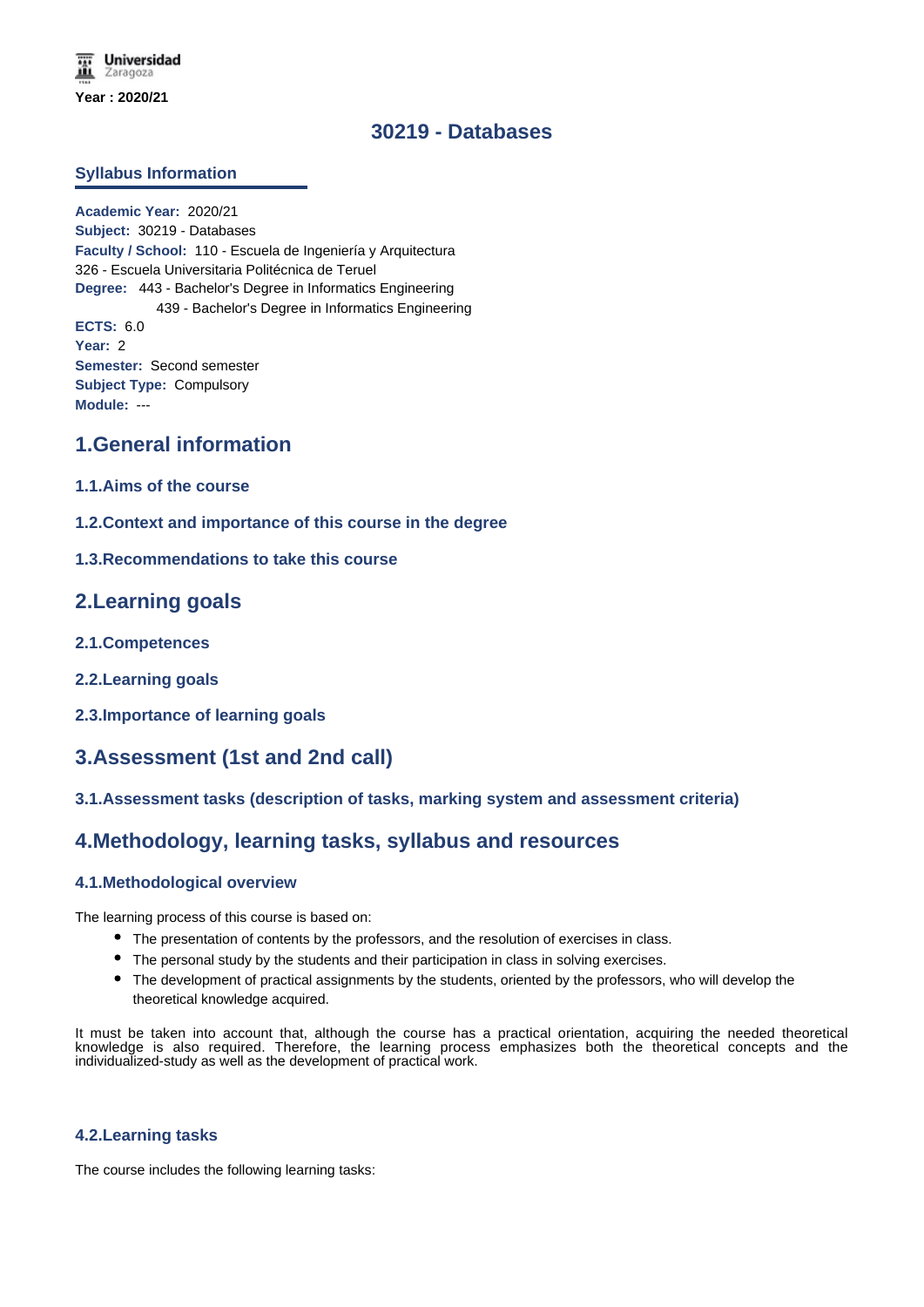# **30219 - Databases**

### **Syllabus Information**

**Academic Year:** 2020/21 **Subject:** 30219 - Databases **Faculty / School:** 110 - Escuela de Ingeniería y Arquitectura 326 - Escuela Universitaria Politécnica de Teruel **Degree:** 443 - Bachelor's Degree in Informatics Engineering 439 - Bachelor's Degree in Informatics Engineering **ECTS:** 6.0 **Year:** 2 **Semester:** Second semester **Subject Type:** Compulsory **Module:** ---

## **1.General information**

- **1.1.Aims of the course**
- **1.2.Context and importance of this course in the degree**
- **1.3.Recommendations to take this course**

## **2.Learning goals**

- **2.1.Competences**
- **2.2.Learning goals**
- **2.3.Importance of learning goals**

## **3.Assessment (1st and 2nd call)**

## **3.1.Assessment tasks (description of tasks, marking system and assessment criteria)**

# **4.Methodology, learning tasks, syllabus and resources**

#### **4.1.Methodological overview**

The learning process of this course is based on:

- The presentation of contents by the professors, and the resolution of exercises in class.
- The personal study by the students and their participation in class in solving exercises.
- The development of practical assignments by the students, oriented by the professors, who will develop the theoretical knowledge acquired.

It must be taken into account that, although the course has a practical orientation, acquiring the needed theoretical knowledge is also required. Therefore, the learning process emphasizes both the theoretical concepts and the individualized-study as well as the development of practical work.

#### **4.2.Learning tasks**

The course includes the following learning tasks: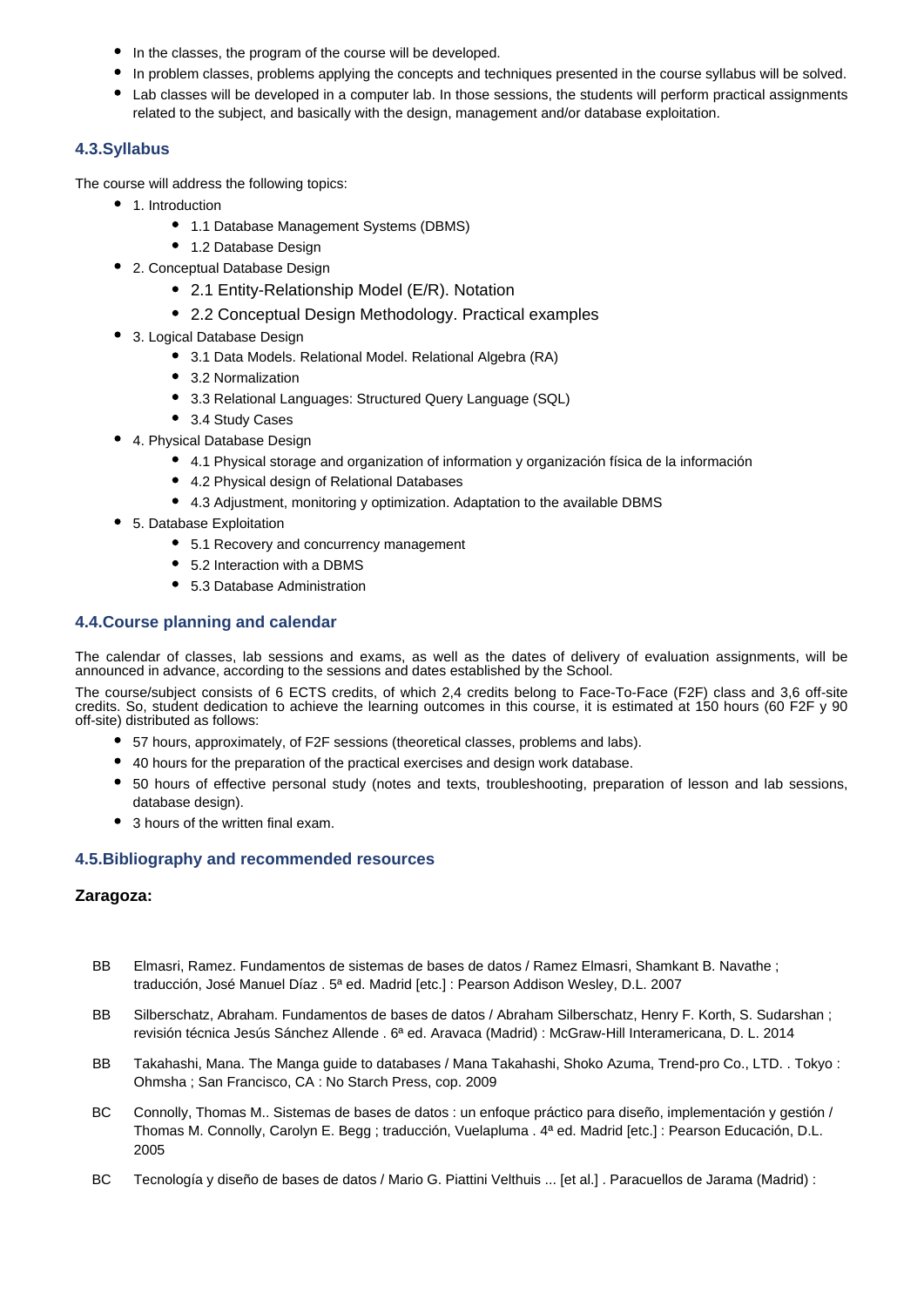- In the classes, the program of the course will be developed.
- In problem classes, problems applying the concepts and techniques presented in the course syllabus will be solved.
- Lab classes will be developed in a computer lab. In those sessions, the students will perform practical assignments related to the subject, and basically with the design, management and/or database exploitation.

## **4.3.Syllabus**

The course will address the following topics:

- 1. Introduction
	- 1.1 Database Management Systems (DBMS)
	- 1.2 Database Design
- 2. Conceptual Database Design
	- 2.1 Entity-Relationship Model (E/R). Notation
	- 2.2 Conceptual Design Methodology. Practical examples
- 3. Logical Database Design
	- 3.1 Data Models. Relational Model. Relational Algebra (RA)
	- 3.2 Normalization
	- 3.3 Relational Languages: Structured Query Language (SQL)
	- 3.4 Study Cases
- 4. Physical Database Design
	- 4.1 Physical storage and organization of information y organización física de la información
	- 4.2 Physical design of Relational Databases
	- 4.3 Adjustment, monitoring y optimization. Adaptation to the available DBMS
- 5. Database Exploitation
	- 5.1 Recovery and concurrency management
	- 5.2 Interaction with a DBMS
	- 5.3 Database Administration

## **4.4.Course planning and calendar**

The calendar of classes, lab sessions and exams, as well as the dates of delivery of evaluation assignments, will be announced in advance, according to the sessions and dates established by the School.

The course/subject consists of 6 ECTS credits, of which 2,4 credits belong to Face-To-Face (F2F) class and 3,6 off-site credits. So, student dedication to achieve the learning outcomes in this course, it is estimated at 150 hours (60 F2F y 90 off-site) distributed as follows:

- 57 hours, approximately, of F2F sessions (theoretical classes, problems and labs).
- 40 hours for the preparation of the practical exercises and design work database.
- 50 hours of effective personal study (notes and texts, troubleshooting, preparation of lesson and lab sessions, database design).
- 3 hours of the written final exam.

## **4.5.Bibliography and recommended resources**

## **Zaragoza:**

- BB Elmasri, Ramez. Fundamentos de sistemas de bases de datos / Ramez Elmasri, Shamkant B. Navathe ; traducción, José Manuel Díaz . 5ª ed. Madrid [etc.] : Pearson Addison Wesley, D.L. 2007
- BB Silberschatz, Abraham. Fundamentos de bases de datos / Abraham Silberschatz, Henry F. Korth, S. Sudarshan ; revisión técnica Jesús Sánchez Allende . 6ª ed. Aravaca (Madrid) : McGraw-Hill Interamericana, D. L. 2014
- BB Takahashi, Mana. The Manga guide to databases / Mana Takahashi, Shoko Azuma, Trend-pro Co., LTD. . Tokyo : Ohmsha ; San Francisco, CA : No Starch Press, cop. 2009
- BC Connolly, Thomas M.. Sistemas de bases de datos : un enfoque práctico para diseño, implementación y gestión / Thomas M. Connolly, Carolyn E. Begg ; traducción, Vuelapluma . 4ª ed. Madrid [etc.] : Pearson Educación, D.L. 2005
- BC Tecnología y diseño de bases de datos / Mario G. Piattini Velthuis ... [et al.] . Paracuellos de Jarama (Madrid) :